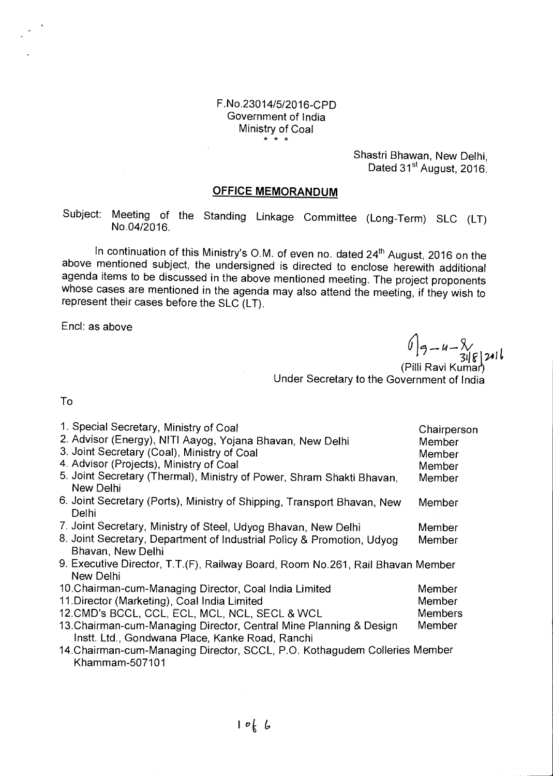#### F.No.23014/5/2016-CPD Government of India Ministry of Coal \* \* \*

Shastri Bhawan, New Delhi, Dated 31<sup>st</sup> August, 2016.

### **OFFICE MEMORANDUM**

Subject: Meeting of the Standing Linkage Committee (Long-Term) SLC (LT) No.04/2016.

In continuation of this Ministry's O.M. of even no. dated  $24<sup>th</sup>$  August, 2016 on the above mentioned subject, the undersigned is directed to enclose herewith additional agenda items to be discussed in the above mentioned meeting. The project proponents whose cases are mentioned in the agenda may also attend the meeting, if they wish to represent their cases before the SLC (LT).

Encl: as above

и $-8/$  $\frac{316}{316}$ 216<br>(Pilli Ravi Kumar)

Under Secretary to the Government of India

To

| 1. Special Secretary, Ministry of Coal<br>2. Advisor (Energy), NITI Aayog, Yojana Bhavan, New Delhi<br>3. Joint Secretary (Coal), Ministry of Coal<br>4. Advisor (Projects), Ministry of Coal<br>5. Joint Secretary (Thermal), Ministry of Power, Shram Shakti Bhavan,<br><b>New Delhi</b> | Chairperson<br>Member<br>Member<br>Member<br>Member |
|--------------------------------------------------------------------------------------------------------------------------------------------------------------------------------------------------------------------------------------------------------------------------------------------|-----------------------------------------------------|
| 6. Joint Secretary (Ports), Ministry of Shipping, Transport Bhavan, New<br>Delhi                                                                                                                                                                                                           | Member                                              |
| 7. Joint Secretary, Ministry of Steel, Udyog Bhavan, New Delhi                                                                                                                                                                                                                             | Member                                              |
| 8. Joint Secretary, Department of Industrial Policy & Promotion, Udyog                                                                                                                                                                                                                     | Member                                              |
| Bhavan, New Delhi                                                                                                                                                                                                                                                                          |                                                     |
| 9. Executive Director, T.T.(F), Railway Board, Room No.261, Rail Bhavan Member<br>New Delhi                                                                                                                                                                                                |                                                     |
| 10. Chairman-cum-Managing Director, Coal India Limited                                                                                                                                                                                                                                     | Member                                              |
| 11. Director (Marketing), Coal India Limited                                                                                                                                                                                                                                               | Member                                              |
| 12. CMD's BCCL, CCL, ECL, MCL, NCL, SECL & WCL                                                                                                                                                                                                                                             | <b>Members</b>                                      |
| 13. Chairman-cum-Managing Director, Central Mine Planning & Design<br>Instt. Ltd., Gondwana Place, Kanke Road, Ranchi                                                                                                                                                                      | Member                                              |
| 14. Chairman-cum-Managing Director, SCCL, P.O. Kothagudem Colleries Member<br>Khammam-507101                                                                                                                                                                                               |                                                     |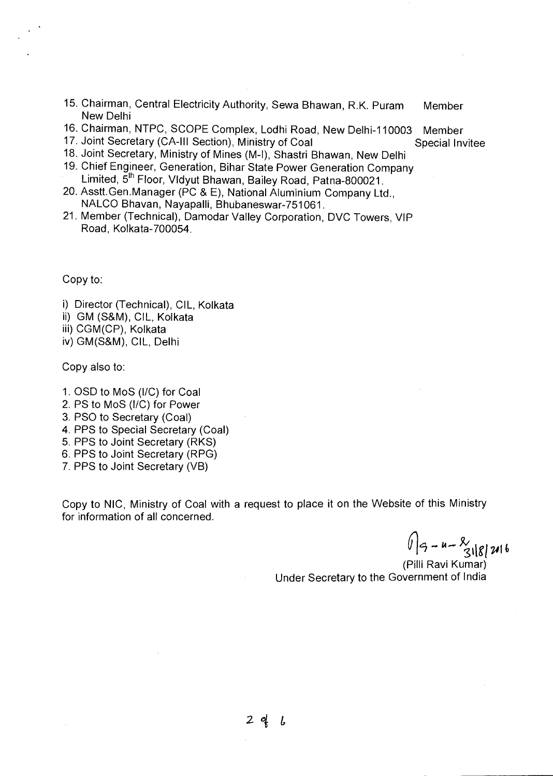- 15. Chairman, Central Electricity Authority, Sewa Bhawan, R.K. Puram Member New Delhi
- 16. Chairman, NTPC, SCOPE Complex, Lodhi Road, New Delhi-110003 Member
- 17. Joint Secretary (CA-III Section), Ministry of Coal Special Invitee
- 18. Joint Secretary, Ministry of Mines (M-I), Shastri Bhawan, New Delhi
- 19. Chief Engineer, Generation, Bihar State Power Generation Company Limited,  $\breve{5}^{\text{th}}$  Floor, Vldyut Bhawan, Bailey Road, Patna-800021.
- 20. Asstt.Gen.Manager (PC & E), National Aluminium Company Ltd., NALCO Bhavan, Nayapalli, Bhubaneswar-751061.
- 21. Member (Technical), Damodar Valley Corporation, DVC Towers, VIP Road, Kolkata-700054.

Copy to:

- i) Director (Technical), CIL, Kolkata
- ii) GM (S&M), CIL, Kolkata
- iii) CGM(CP), Kolkata

iv) GM(S&M), CIL, Delhi

Copy also to:

- 1. OSD to MoS (I/O) for Coal
- 2. PS to MoS (I/C) for Power
- 3. PSO to Secretary (Coal)
- 4. PPS to Special Secretary (Coal)
- 5. PPS to Joint Secretary (RKS)
- 6. PPS to Joint Secretary (RPG)
- 7. PPS to Joint Secretary (VB)

Copy to NIC, Ministry of Coal with a request to place it on the Website of this Ministry for information of all concerned.

 $\sqrt{9}-u-\frac{8}{318246}$ 

(PiIli Ravi Kumar) Under Secretary to the Government of India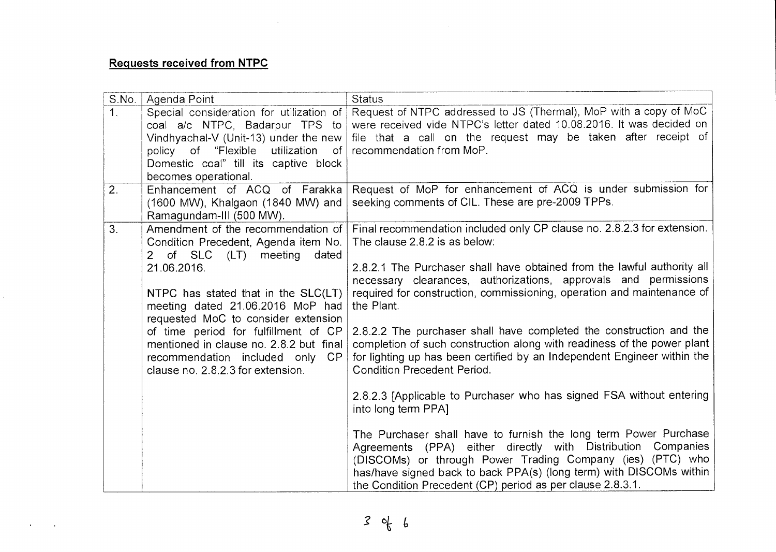## **Requests received from NTPC**

 $\sim 10$ 

 $\ddot{\phantom{a}}$ 

| S.No.          | Agenda Point                                                                                                                                                                                   | <b>Status</b>                                                                                                                                                                                                                                                                                                                          |
|----------------|------------------------------------------------------------------------------------------------------------------------------------------------------------------------------------------------|----------------------------------------------------------------------------------------------------------------------------------------------------------------------------------------------------------------------------------------------------------------------------------------------------------------------------------------|
| 1 <sub>1</sub> | Special consideration for utilization of                                                                                                                                                       | Request of NTPC addressed to JS (Thermal), MoP with a copy of MoC                                                                                                                                                                                                                                                                      |
|                | coal a/c NTPC, Badarpur TPS to                                                                                                                                                                 | were received vide NTPC's letter dated 10.08.2016. It was decided on                                                                                                                                                                                                                                                                   |
|                | Vindhyachal-V (Unit-13) under the new<br>policy of "Flexible utilization of                                                                                                                    | file that a call on the request may be taken after receipt of<br>recommendation from MoP.                                                                                                                                                                                                                                              |
|                | Domestic coal" till its captive block                                                                                                                                                          |                                                                                                                                                                                                                                                                                                                                        |
|                | becomes operational.                                                                                                                                                                           |                                                                                                                                                                                                                                                                                                                                        |
| 2.             | Enhancement of ACQ of Farakka                                                                                                                                                                  | Request of MoP for enhancement of ACQ is under submission for                                                                                                                                                                                                                                                                          |
|                | (1600 MW), Khalgaon (1840 MW) and<br>Ramagundam-III (500 MW).                                                                                                                                  | seeking comments of CIL. These are pre-2009 TPPs.                                                                                                                                                                                                                                                                                      |
| 3.             | Amendment of the recommendation of<br>Condition Precedent, Agenda item No.<br>of SLC (LT) meeting<br>dated<br>$\mathbf{2}$                                                                     | Final recommendation included only CP clause no. 2.8.2.3 for extension.<br>The clause 2.8.2 is as below:                                                                                                                                                                                                                               |
|                | 21.06.2016.<br>NTPC has stated that in the SLC(LT)<br>meeting dated 21.06.2016 MoP had                                                                                                         | 2.8.2.1 The Purchaser shall have obtained from the lawful authority all<br>necessary clearances, authorizations, approvals and permissions<br>required for construction, commissioning, operation and maintenance of<br>the Plant.                                                                                                     |
|                | requested MoC to consider extension<br>of time period for fulfillment of CP<br>mentioned in clause no. 2.8.2 but final<br>recommendation included only CP<br>clause no. 2.8.2.3 for extension. | 2.8.2.2 The purchaser shall have completed the construction and the<br>completion of such construction along with readiness of the power plant<br>for lighting up has been certified by an Independent Engineer within the<br><b>Condition Precedent Period.</b>                                                                       |
|                |                                                                                                                                                                                                | 2.8.2.3 [Applicable to Purchaser who has signed FSA without entering<br>into long term PPA]                                                                                                                                                                                                                                            |
|                |                                                                                                                                                                                                | The Purchaser shall have to furnish the long term Power Purchase<br>Agreements (PPA) either directly with Distribution<br>Companies<br>(DISCOMs) or through Power Trading Company (ies) (PTC) who<br>has/have signed back to back PPA(s) (long term) with DISCOMs within<br>the Condition Precedent (CP) period as per clause 2.8.3.1. |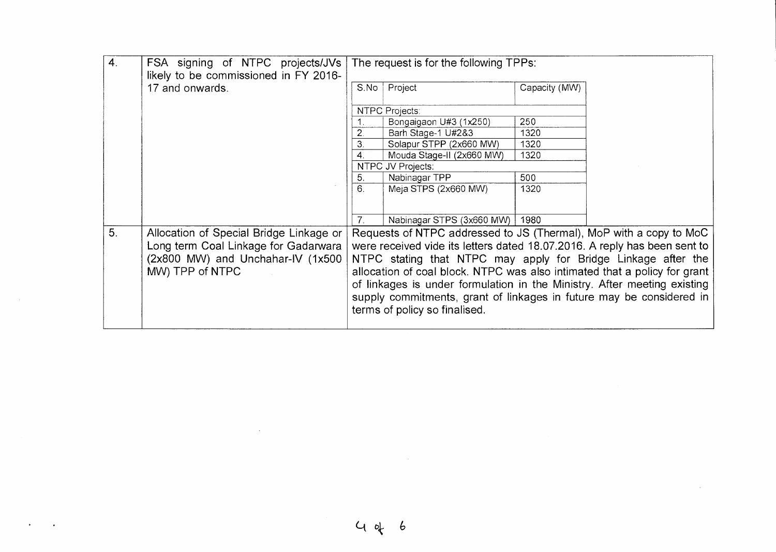| $\boldsymbol{4}$ . | FSA signing of NTPC projects/JVs<br>likely to be commissioned in FY 2016- | The request is for the following TPPs:                                                                                                                                                                                                                         |                                  |               |  |
|--------------------|---------------------------------------------------------------------------|----------------------------------------------------------------------------------------------------------------------------------------------------------------------------------------------------------------------------------------------------------------|----------------------------------|---------------|--|
|                    | 17 and onwards.                                                           | S.No                                                                                                                                                                                                                                                           | Project                          | Capacity (MW) |  |
|                    |                                                                           |                                                                                                                                                                                                                                                                | NTPC Projects:                   |               |  |
|                    |                                                                           |                                                                                                                                                                                                                                                                | Bongaigaon U#3 (1x250)           | 250           |  |
|                    |                                                                           |                                                                                                                                                                                                                                                                | Barh Stage-1 U#2&3               | 1320          |  |
|                    |                                                                           | 3.                                                                                                                                                                                                                                                             | Solapur STPP (2x660 MW)          | 1320          |  |
|                    |                                                                           | $\mathbf{A}_{\cdot}$                                                                                                                                                                                                                                           | Mouda Stage-II (2x660 MW)        | 1320          |  |
|                    |                                                                           | NTPC JV Projects:                                                                                                                                                                                                                                              |                                  |               |  |
|                    |                                                                           | 5.                                                                                                                                                                                                                                                             | Nabinagar TPP                    | 500           |  |
|                    |                                                                           | 6.                                                                                                                                                                                                                                                             | Meja STPS (2x660 MW)             | 1320          |  |
|                    |                                                                           |                                                                                                                                                                                                                                                                |                                  |               |  |
|                    |                                                                           | 7 <sup>1</sup>                                                                                                                                                                                                                                                 | Nabinagar STPS (3x660 MW)   1980 |               |  |
| 5 <sub>1</sub>     | Allocation of Special Bridge Linkage or                                   |                                                                                                                                                                                                                                                                |                                  |               |  |
|                    | Long term Coal Linkage for Gadarwara                                      | Requests of NTPC addressed to JS (Thermal), MoP with a copy to MoC<br>were received vide its letters dated 18.07.2016. A reply has been sent to<br>NTPC stating that NTPC may apply for Bridge Linkage after the                                               |                                  |               |  |
|                    | (2x800 MW) and Unchahar-IV (1x500                                         |                                                                                                                                                                                                                                                                |                                  |               |  |
|                    |                                                                           |                                                                                                                                                                                                                                                                |                                  |               |  |
|                    | MW) TPP of NTPC                                                           | allocation of coal block. NTPC was also intimated that a policy for grant<br>of linkages is under formulation in the Ministry. After meeting existing<br>supply commitments, grant of linkages in future may be considered in<br>terms of policy so finalised. |                                  |               |  |
|                    |                                                                           |                                                                                                                                                                                                                                                                |                                  |               |  |
|                    |                                                                           |                                                                                                                                                                                                                                                                |                                  |               |  |
|                    |                                                                           |                                                                                                                                                                                                                                                                |                                  |               |  |
|                    |                                                                           |                                                                                                                                                                                                                                                                |                                  |               |  |

 $\label{eq:2.1} \frac{1}{2} \sum_{i=1}^n \frac{1}{2} \sum_{j=1}^n \frac{1}{2} \sum_{j=1}^n \frac{1}{2} \sum_{j=1}^n \frac{1}{2} \sum_{j=1}^n \frac{1}{2} \sum_{j=1}^n \frac{1}{2} \sum_{j=1}^n \frac{1}{2} \sum_{j=1}^n \frac{1}{2} \sum_{j=1}^n \frac{1}{2} \sum_{j=1}^n \frac{1}{2} \sum_{j=1}^n \frac{1}{2} \sum_{j=1}^n \frac{1}{2} \sum_{j=1}^n \frac{$ 

 $\label{eq:2.1} \frac{1}{2} \sum_{i=1}^n \frac{1}{2} \sum_{j=1}^n \frac{1}{2} \sum_{j=1}^n \frac{1}{2} \sum_{j=1}^n \frac{1}{2} \sum_{j=1}^n \frac{1}{2} \sum_{j=1}^n \frac{1}{2} \sum_{j=1}^n \frac{1}{2} \sum_{j=1}^n \frac{1}{2} \sum_{j=1}^n \frac{1}{2} \sum_{j=1}^n \frac{1}{2} \sum_{j=1}^n \frac{1}{2} \sum_{j=1}^n \frac{1}{2} \sum_{j=1}^n \frac{$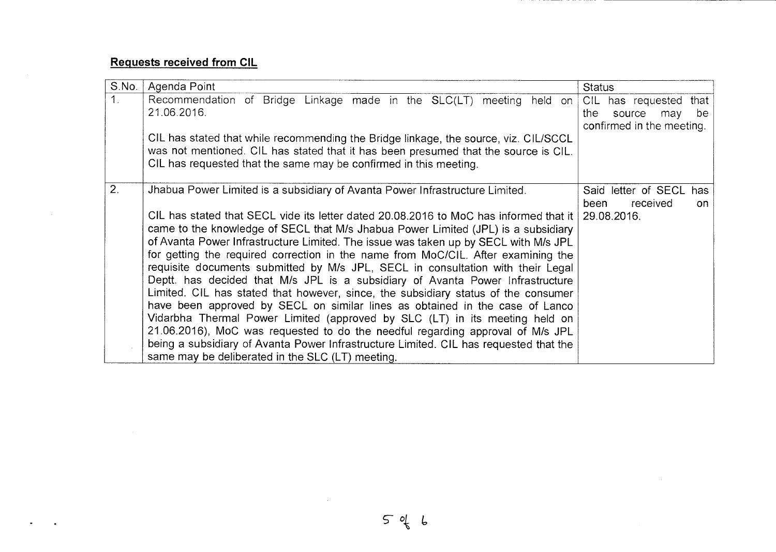# **Requests received from CIL**

 $\sim$ 

 $\bullet$ 

| S.No.          | Agenda Point                                                                                                                                                                                                                                                                                                                                                                                                                                                                                                                                                                                                                                                                                                                                                                                                                                                                                                                                                                                                    | <b>Status</b>                                                                     |
|----------------|-----------------------------------------------------------------------------------------------------------------------------------------------------------------------------------------------------------------------------------------------------------------------------------------------------------------------------------------------------------------------------------------------------------------------------------------------------------------------------------------------------------------------------------------------------------------------------------------------------------------------------------------------------------------------------------------------------------------------------------------------------------------------------------------------------------------------------------------------------------------------------------------------------------------------------------------------------------------------------------------------------------------|-----------------------------------------------------------------------------------|
| 1 <sub>1</sub> | Recommendation of Bridge Linkage made in the SLC(LT) meeting held on<br>21.06.2016.                                                                                                                                                                                                                                                                                                                                                                                                                                                                                                                                                                                                                                                                                                                                                                                                                                                                                                                             | CIL has requested that<br>the<br>be<br>source<br>may<br>confirmed in the meeting. |
|                | CIL has stated that while recommending the Bridge linkage, the source, viz. CIL/SCCL<br>was not mentioned. CIL has stated that it has been presumed that the source is CIL.<br>CIL has requested that the same may be confirmed in this meeting.                                                                                                                                                                                                                                                                                                                                                                                                                                                                                                                                                                                                                                                                                                                                                                |                                                                                   |
| 2.             | Jhabua Power Limited is a subsidiary of Avanta Power Infrastructure Limited.                                                                                                                                                                                                                                                                                                                                                                                                                                                                                                                                                                                                                                                                                                                                                                                                                                                                                                                                    | Said letter of SECL<br>has<br>received<br>been<br>on.                             |
|                | CIL has stated that SECL vide its letter dated 20.08.2016 to MoC has informed that it<br>came to the knowledge of SECL that M/s Jhabua Power Limited (JPL) is a subsidiary<br>of Avanta Power Infrastructure Limited. The issue was taken up by SECL with M/s JPL<br>for getting the required correction in the name from MoC/CIL. After examining the<br>requisite documents submitted by M/s JPL, SECL in consultation with their Legal<br>Deptt. has decided that M/s JPL is a subsidiary of Avanta Power Infrastructure<br>Limited. CIL has stated that however, since, the subsidiary status of the consumer<br>have been approved by SECL on similar lines as obtained in the case of Lanco<br>Vidarbha Thermal Power Limited (approved by SLC (LT) in its meeting held on<br>21.06.2016), MoC was requested to do the needful regarding approval of M/s JPL<br>being a subsidiary of Avanta Power Infrastructure Limited. CIL has requested that the<br>same may be deliberated in the SLC (LT) meeting. | 29.08.2016.                                                                       |

 $\sim 10^{-1}$